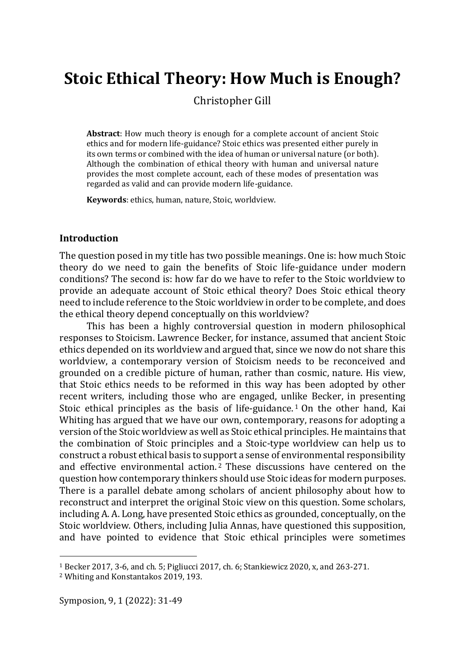# **Stoic Ethical Theory: How Much is Enough?**

Christopher Gill

**Abstract**: How much theory is enough for a complete account of ancient Stoic ethics and for modern life-guidance? Stoic ethics was presented either purely in its own terms or combined with the idea of human or universal nature (or both). Although the combination of ethical theory with human and universal nature provides the most complete account, each of these modes of presentation was regarded as valid and can provide modern life-guidance.

**Keywords**: ethics, human, nature, Stoic, worldview.

## **Introduction**

The question posed in my title has two possible meanings. One is: how much Stoic theory do we need to gain the benefits of Stoic life-guidance under modern conditions? The second is: how far do we have to refer to the Stoic worldview to provide an adequate account of Stoic ethical theory? Does Stoic ethical theory need to include reference to the Stoic worldview in order to be complete, and does the ethical theory depend conceptually on this worldview?

This has been a highly controversial question in modern philosophical responses to Stoicism. Lawrence Becker, for instance, assumed that ancient Stoic ethics depended on its worldview and argued that, since we now do not share this worldview, a contemporary version of Stoicism needs to be reconceived and grounded on a credible picture of human, rather than cosmic, nature. His view, that Stoic ethics needs to be reformed in this way has been adopted by other recent writers, including those who are engaged, unlike Becker, in presenting Stoic ethical principles as the basis of life-guidance.<sup>1</sup> On the other hand, Kai Whiting has argued that we have our own, contemporary, reasons for adopting a version of the Stoic worldview as well as Stoic ethical principles. He maintains that the combination of Stoic principles and a Stoic-type worldview can help us to construct a robust ethical basis to support a sense of environmental responsibility and effective environmental action. <sup>2</sup> These discussions have centered on the question how contemporary thinkers should use Stoic ideas for modern purposes. There is a parallel debate among scholars of ancient philosophy about how to reconstruct and interpret the original Stoic view on this question. Some scholars, including A. A. Long, have presented Stoic ethics as grounded, conceptually, on the Stoic worldview. Others, including Julia Annas, have questioned this supposition, and have pointed to evidence that Stoic ethical principles were sometimes

<sup>1</sup> Becker 2017, 3-6, and ch. 5; Pigliucci 2017, ch. 6; Stankiewicz 2020, x, and 263-271.

<sup>2</sup> Whiting and Konstantakos 2019, 193.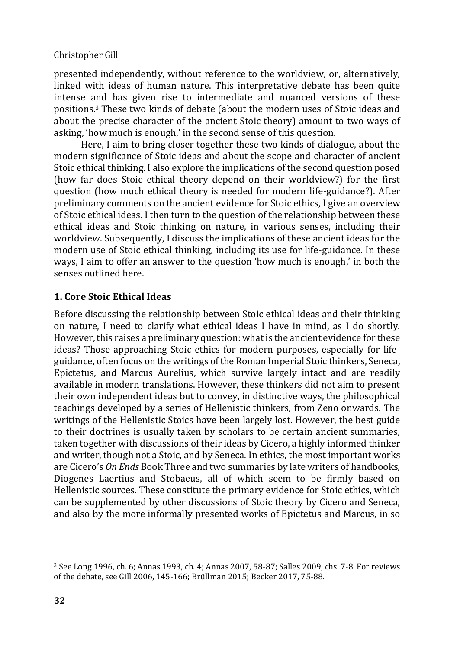presented independently, without reference to the worldview, or, alternatively, linked with ideas of human nature. This interpretative debate has been quite intense and has given rise to intermediate and nuanced versions of these positions.<sup>3</sup> These two kinds of debate (about the modern uses of Stoic ideas and about the precise character of the ancient Stoic theory) amount to two ways of asking, 'how much is enough,' in the second sense of this question.

Here, I aim to bring closer together these two kinds of dialogue, about the modern significance of Stoic ideas and about the scope and character of ancient Stoic ethical thinking. I also explore the implications of the second question posed (how far does Stoic ethical theory depend on their worldview?) for the first question (how much ethical theory is needed for modern life-guidance?). After preliminary comments on the ancient evidence for Stoic ethics, I give an overview of Stoic ethical ideas. I then turn to the question of the relationship between these ethical ideas and Stoic thinking on nature, in various senses, including their worldview. Subsequently, I discuss the implications of these ancient ideas for the modern use of Stoic ethical thinking, including its use for life-guidance. In these ways, I aim to offer an answer to the question 'how much is enough,' in both the senses outlined here.

## **1. Core Stoic Ethical Ideas**

Before discussing the relationship between Stoic ethical ideas and their thinking on nature, I need to clarify what ethical ideas I have in mind, as I do shortly. However, this raises a preliminary question: what is the ancient evidence for these ideas? Those approaching Stoic ethics for modern purposes, especially for lifeguidance, often focus on the writings of the Roman Imperial Stoic thinkers, Seneca, Epictetus, and Marcus Aurelius, which survive largely intact and are readily available in modern translations. However, these thinkers did not aim to present their own independent ideas but to convey, in distinctive ways, the philosophical teachings developed by a series of Hellenistic thinkers, from Zeno onwards. The writings of the Hellenistic Stoics have been largely lost. However, the best guide to their doctrines is usually taken by scholars to be certain ancient summaries, taken together with discussions of their ideas by Cicero, a highly informed thinker and writer, though not a Stoic, and by Seneca. In ethics, the most important works are Cicero's *On Ends* Book Three and two summaries by late writers of handbooks, Diogenes Laertius and Stobaeus, all of which seem to be firmly based on Hellenistic sources. These constitute the primary evidence for Stoic ethics, which can be supplemented by other discussions of Stoic theory by Cicero and Seneca, and also by the more informally presented works of Epictetus and Marcus, in so

<sup>3</sup> See Long 1996, ch. 6; Annas 1993, ch. 4; Annas 2007, 58-87; Salles 2009, chs. 7-8. For reviews of the debate, see Gill 2006, 145-166; Brüllman 2015; Becker 2017, 75-88.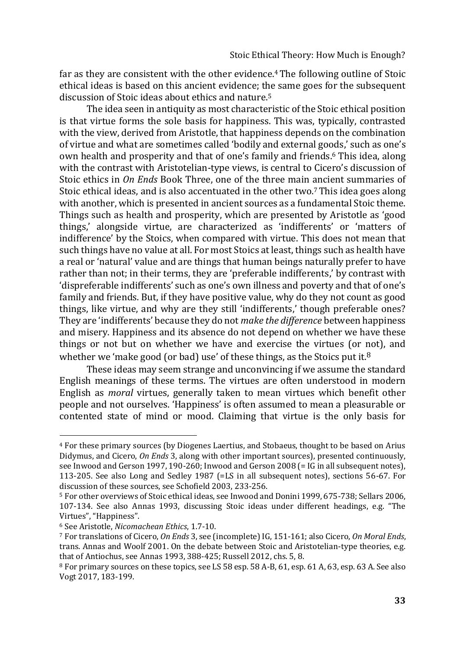far as they are consistent with the other evidence.<sup>4</sup> The following outline of Stoic ethical ideas is based on this ancient evidence; the same goes for the subsequent discussion of Stoic ideas about ethics and nature.<sup>5</sup>

The idea seen in antiquity as most characteristic of the Stoic ethical position is that virtue forms the sole basis for happiness. This was, typically, contrasted with the view, derived from Aristotle, that happiness depends on the combination of virtue and what are sometimes called 'bodily and external goods,' such as one's own health and prosperity and that of one's family and friends.<sup>6</sup> This idea, along with the contrast with Aristotelian-type views, is central to Cicero's discussion of Stoic ethics in *On Ends* Book Three, one of the three main ancient summaries of Stoic ethical ideas, and is also accentuated in the other two.7This idea goes along with another, which is presented in ancient sources as a fundamental Stoic theme. Things such as health and prosperity, which are presented by Aristotle as 'good things,' alongside virtue, are characterized as 'indifferents' or 'matters of indifference' by the Stoics, when compared with virtue. This does not mean that such things have no value at all. For most Stoics at least, things such as health have a real or 'natural' value and are things that human beings naturally prefer to have rather than not; in their terms, they are 'preferable indifferents,' by contrast with 'dispreferable indifferents' such as one's own illness and poverty and that of one's family and friends. But, if they have positive value, why do they not count as good things, like virtue, and why are they still 'indifferents,' though preferable ones? They are 'indifferents' because they do not *make the difference* between happiness and misery. Happiness and its absence do not depend on whether we have these things or not but on whether we have and exercise the virtues (or not), and whether we 'make good (or bad) use' of these things, as the Stoics put it.<sup>8</sup>

These ideas may seem strange and unconvincing if we assume the standard English meanings of these terms. The virtues are often understood in modern English as *moral* virtues, generally taken to mean virtues which benefit other people and not ourselves. 'Happiness' is often assumed to mean a pleasurable or contented state of mind or mood. Claiming that virtue is the only basis for

<sup>4</sup> For these primary sources (by Diogenes Laertius, and Stobaeus, thought to be based on Arius Didymus, and Cicero, *On Ends* 3, along with other important sources), presented continuously, see Inwood and Gerson 1997, 190-260; Inwood and Gerson 2008 (= IG in all subsequent notes), 113-205. See also Long and Sedley 1987 (=LS in all subsequent notes), sections 56-67. For discussion of these sources, see Schofield 2003, 233-256.

<sup>5</sup> For other overviews of Stoic ethical ideas, see Inwood and Donini 1999, 675-738; Sellars 2006, 107-134. See also Annas 1993, discussing Stoic ideas under different headings, e.g. "The Virtues", "Happiness".

<sup>6</sup> See Aristotle, *Nicomachean Ethics*, 1.7-10.

<sup>7</sup> For translations of Cicero, *On Ends* 3, see (incomplete) IG, 151-161; also Cicero, *On Moral Ends*, trans. Annas and Woolf 2001. On the debate between Stoic and Aristotelian-type theories, e.g. that of Antiochus, see Annas 1993, 388-425; Russell 2012, chs. 5, 8.

<sup>8</sup> For primary sources on these topics, see LS 58 esp. 58 A-B, 61, esp. 61 A, 63, esp. 63 A. See also Vogt 2017, 183-199.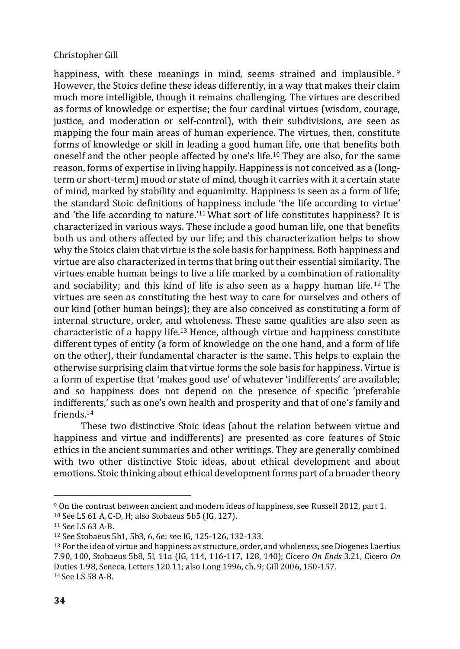happiness, with these meanings in mind, seems strained and implausible.<sup>9</sup> However, the Stoics define these ideas differently, in a way that makes their claim much more intelligible, though it remains challenging. The virtues are described as forms of knowledge or expertise; the four cardinal virtues (wisdom, courage, justice, and moderation or self-control), with their subdivisions, are seen as mapping the four main areas of human experience. The virtues, then, constitute forms of knowledge or skill in leading a good human life, one that benefits both oneself and the other people affected by one's life.<sup>10</sup> They are also, for the same reason, forms of expertise in living happily. Happiness is not conceived as a (longterm or short-term) mood or state of mind, though it carries with it a certain state of mind, marked by stability and equanimity. Happiness is seen as a form of life; the standard Stoic definitions of happiness include 'the life according to virtue' and 'the life according to nature.'<sup>11</sup> What sort of life constitutes happiness? It is characterized in various ways. These include a good human life, one that benefits both us and others affected by our life; and this characterization helps to show why the Stoics claim that virtue is the sole basis for happiness. Both happiness and virtue are also characterized in terms that bring out their essential similarity. The virtues enable human beings to live a life marked by a combination of rationality and sociability; and this kind of life is also seen as a happy human life.<sup>12</sup> The virtues are seen as constituting the best way to care for ourselves and others of our kind (other human beings); they are also conceived as constituting a form of internal structure, order, and wholeness. These same qualities are also seen as characteristic of a happy life.<sup>13</sup> Hence, although virtue and happiness constitute different types of entity (a form of knowledge on the one hand, and a form of life on the other), their fundamental character is the same. This helps to explain the otherwise surprising claim that virtue forms the sole basis for happiness. Virtue is a form of expertise that 'makes good use' of whatever 'indifferents' are available; and so happiness does not depend on the presence of specific 'preferable indifferents,' such as one's own health and prosperity and that of one's family and friends.<sup>14</sup>

These two distinctive Stoic ideas (about the relation between virtue and happiness and virtue and indifferents) are presented as core features of Stoic ethics in the ancient summaries and other writings. They are generally combined with two other distinctive Stoic ideas, about ethical development and about emotions. Stoic thinking about ethical development forms part of a broader theory

<sup>9</sup> On the contrast between ancient and modern ideas of happiness, see Russell 2012, part 1. <sup>10</sup> See LS 61 A, C-D, H; also Stobaeus 5b5 (IG, 127).

<sup>11</sup> See LS 63 A-B.

<sup>12</sup> See Stobaeus 5b1, 5b3, 6, 6e: see IG, 125-126, 132-133.

<sup>13</sup> For the idea of virtue and happiness as structure, order, and wholeness, see Diogenes Laertius 7.90, 100, Stobaeus 5b8, 5l, 11a (IG, 114, 116-117, 128, 140); Cicero *On Ends* 3.21, Cicero *On*  Duties 1.98, Seneca, Letters 120.11; also Long 1996, ch. 9; Gill 2006, 150-157. <sup>14</sup> See LS 58 A-B.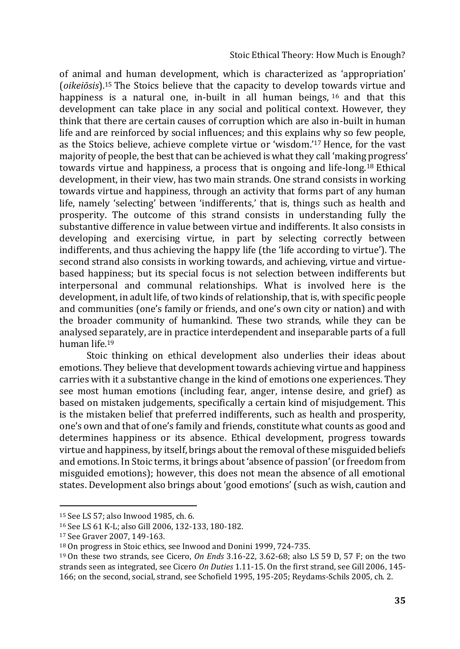of animal and human development, which is characterized as 'appropriation' (*oikeiōsis*).<sup>15</sup> The Stoics believe that the capacity to develop towards virtue and happiness is a natural one, in-built in all human beings, <sup>16</sup> and that this development can take place in any social and political context. However, they think that there are certain causes of corruption which are also in-built in human life and are reinforced by social influences; and this explains why so few people, as the Stoics believe, achieve complete virtue or 'wisdom.' <sup>17</sup> Hence, for the vast majority of people, the best that can be achieved is what they call 'making progress' towards virtue and happiness, a process that is ongoing and life-long.<sup>18</sup> Ethical development, in their view, has two main strands. One strand consists in working towards virtue and happiness, through an activity that forms part of any human life, namely 'selecting' between 'indifferents,' that is, things such as health and prosperity. The outcome of this strand consists in understanding fully the substantive difference in value between virtue and indifferents. It also consists in developing and exercising virtue, in part by selecting correctly between indifferents, and thus achieving the happy life (the 'life according to virtue'). The second strand also consists in working towards, and achieving, virtue and virtuebased happiness; but its special focus is not selection between indifferents but interpersonal and communal relationships. What is involved here is the development, in adult life, of two kinds of relationship, that is, with specific people and communities (one's family or friends, and one's own city or nation) and with the broader community of humankind. These two strands, while they can be analysed separately, are in practice interdependent and inseparable parts of a full human life.<sup>19</sup>

Stoic thinking on ethical development also underlies their ideas about emotions. They believe that development towards achieving virtue and happiness carries with it a substantive change in the kind of emotions one experiences. They see most human emotions (including fear, anger, intense desire, and grief) as based on mistaken judgements, specifically a certain kind of misjudgement. This is the mistaken belief that preferred indifferents, such as health and prosperity, one's own and that of one's family and friends, constitute what counts as good and determines happiness or its absence. Ethical development, progress towards virtue and happiness, by itself, brings about the removal of these misguided beliefs and emotions. In Stoic terms, it brings about 'absence of passion' (or freedom from misguided emotions); however, this does not mean the absence of all emotional states. Development also brings about 'good emotions' (such as wish, caution and

<sup>15</sup> See LS 57; also Inwood 1985, ch. 6.

<sup>16</sup> See LS 61 K-L; also Gill 2006, 132-133, 180-182.

<sup>17</sup> See Graver 2007, 149-163.

<sup>18</sup> On progress in Stoic ethics, see Inwood and Donini 1999, 724-735.

<sup>19</sup> On these two strands, see Cicero, *On Ends* 3.16-22, 3.62-68; also LS 59 D, 57 F; on the two strands seen as integrated, see Cicero *On Duties* 1.11-15. On the first strand, see Gill 2006, 145- 166; on the second, social, strand, see Schofield 1995, 195-205; Reydams-Schils 2005, ch. 2.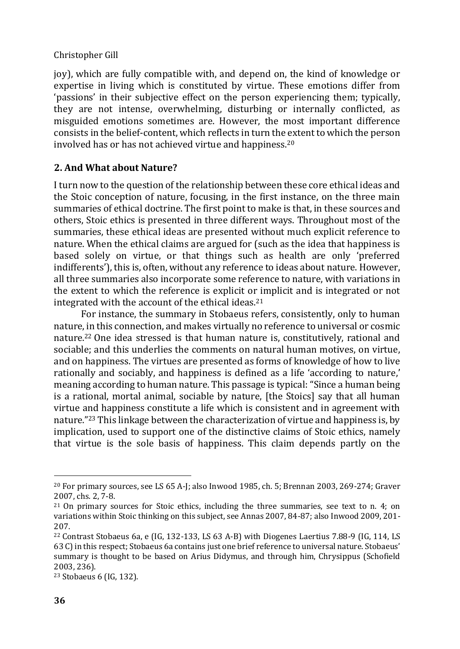joy), which are fully compatible with, and depend on, the kind of knowledge or expertise in living which is constituted by virtue. These emotions differ from 'passions' in their subjective effect on the person experiencing them; typically, they are not intense, overwhelming, disturbing or internally conflicted, as misguided emotions sometimes are. However, the most important difference consists in the belief-content, which reflects in turn the extent to which the person involved has or has not achieved virtue and happiness.<sup>20</sup>

# **2. And What about Nature?**

I turn now to the question of the relationship between these core ethical ideas and the Stoic conception of nature, focusing, in the first instance, on the three main summaries of ethical doctrine. The first point to make is that, in these sources and others, Stoic ethics is presented in three different ways. Throughout most of the summaries, these ethical ideas are presented without much explicit reference to nature. When the ethical claims are argued for (such as the idea that happiness is based solely on virtue, or that things such as health are only 'preferred indifferents'), this is, often, without any reference to ideas about nature. However, all three summaries also incorporate some reference to nature, with variations in the extent to which the reference is explicit or implicit and is integrated or not integrated with the account of the ethical ideas.<sup>21</sup>

For instance, the summary in Stobaeus refers, consistently, only to human nature, in this connection, and makes virtually no reference to universal or cosmic nature.<sup>22</sup> One idea stressed is that human nature is, constitutively, rational and sociable; and this underlies the comments on natural human motives, on virtue, and on happiness. The virtues are presented as forms of knowledge of how to live rationally and sociably, and happiness is defined as a life 'according to nature,' meaning according to human nature. This passage is typical: "Since a human being is a rational, mortal animal, sociable by nature, [the Stoics] say that all human virtue and happiness constitute a life which is consistent and in agreement with nature."<sup>23</sup> This linkage between the characterization of virtue and happiness is, by implication, used to support one of the distinctive claims of Stoic ethics, namely that virtue is the sole basis of happiness. This claim depends partly on the

<sup>20</sup> For primary sources, see LS 65 A-J; also Inwood 1985, ch. 5; Brennan 2003, 269-274; Graver 2007, chs. 2, 7-8.

<sup>21</sup> On primary sources for Stoic ethics, including the three summaries, see text to n. 4; on variations within Stoic thinking on this subject, see Annas 2007, 84-87; also Inwood 2009, 201- 207.

<sup>22</sup> Contrast Stobaeus 6a, e (IG, 132-133, LS 63 A-B) with Diogenes Laertius 7.88-9 (IG, 114, LS 63 C) in this respect; Stobaeus 6a contains just one brief reference to universal nature. Stobaeus' summary is thought to be based on Arius Didymus, and through him, Chrysippus (Schofield 2003, 236).

<sup>23</sup> Stobaeus 6 (IG, 132).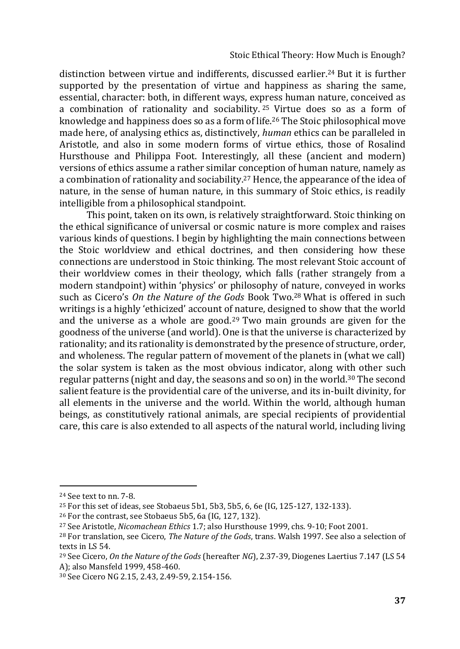distinction between virtue and indifferents, discussed earlier.<sup>24</sup> But it is further supported by the presentation of virtue and happiness as sharing the same, essential, character: both, in different ways, express human nature, conceived as a combination of rationality and sociability. <sup>25</sup> Virtue does so as a form of knowledge and happiness does so as a form of life.<sup>26</sup> The Stoic philosophical move made here, of analysing ethics as, distinctively, *human* ethics can be paralleled in Aristotle, and also in some modern forms of virtue ethics, those of Rosalind Hursthouse and Philippa Foot. Interestingly, all these (ancient and modern) versions of ethics assume a rather similar conception of human nature, namely as a combination of rationality and sociability.<sup>27</sup> Hence, the appearance of the idea of nature, in the sense of human nature, in this summary of Stoic ethics, is readily intelligible from a philosophical standpoint.

This point, taken on its own, is relatively straightforward. Stoic thinking on the ethical significance of universal or cosmic nature is more complex and raises various kinds of questions. I begin by highlighting the main connections between the Stoic worldview and ethical doctrines, and then considering how these connections are understood in Stoic thinking. The most relevant Stoic account of their worldview comes in their theology, which falls (rather strangely from a modern standpoint) within 'physics' or philosophy of nature, conveyed in works such as Cicero's *On the Nature of the Gods* Book Two.<sup>28</sup> What is offered in such writings is a highly 'ethicized' account of nature, designed to show that the world and the universe as a whole are good.<sup>29</sup> Two main grounds are given for the goodness of the universe (and world). One is that the universe is characterized by rationality; and its rationality is demonstrated by the presence of structure, order, and wholeness. The regular pattern of movement of the planets in (what we call) the solar system is taken as the most obvious indicator, along with other such regular patterns (night and day, the seasons and so on) in the world.<sup>30</sup> The second salient feature is the providential care of the universe, and its in-built divinity, for all elements in the universe and the world. Within the world, although human beings, as constitutively rational animals, are special recipients of providential care, this care is also extended to all aspects of the natural world, including living

<sup>24</sup> See text to nn. 7-8.

<sup>25</sup> For this set of ideas, see Stobaeus 5b1, 5b3, 5b5, 6, 6e (IG, 125-127, 132-133).

<sup>26</sup> For the contrast, see Stobaeus 5b5, 6a (IG, 127, 132).

<sup>27</sup> See Aristotle, *Nicomachean Ethics* 1.7; also Hursthouse 1999, chs. 9-10; Foot 2001.

<sup>28</sup> For translation, see Cicero, *The Nature of the Gods*, trans. Walsh 1997. See also a selection of texts in LS 54.

<sup>29</sup> See Cicero, *On the Nature of the Gods* (hereafter *NG*), 2.37-39, Diogenes Laertius 7.147 (LS 54 A); also Mansfeld 1999, 458-460.

<sup>30</sup> See Cicero NG 2.15, 2.43, 2.49-59, 2.154-156.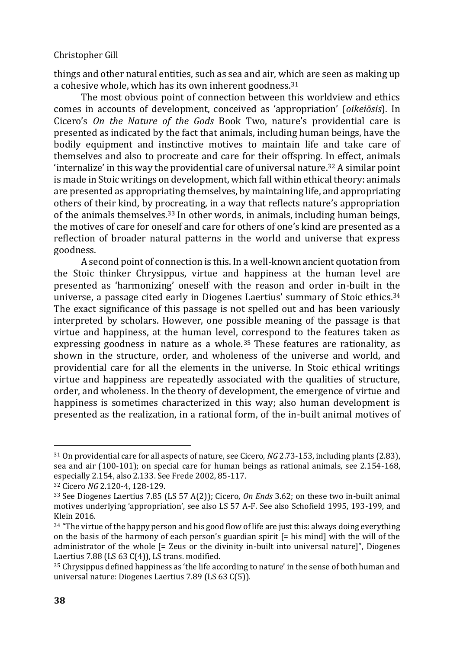things and other natural entities, such as sea and air, which are seen as making up a cohesive whole, which has its own inherent goodness.<sup>31</sup>

The most obvious point of connection between this worldview and ethics comes in accounts of development, conceived as 'appropriation' (*oikeiōsis*). In Cicero's *On the Nature of the Gods* Book Two, nature's providential care is presented as indicated by the fact that animals, including human beings, have the bodily equipment and instinctive motives to maintain life and take care of themselves and also to procreate and care for their offspring. In effect, animals 'internalize' in this way the providential care of universal nature.<sup>32</sup> A similar point is made in Stoic writings on development, which fall within ethical theory: animals are presented as appropriating themselves, by maintaining life, and appropriating others of their kind, by procreating, in a way that reflects nature's appropriation of the animals themselves.<sup>33</sup> In other words, in animals, including human beings, the motives of care for oneself and care for others of one's kind are presented as a reflection of broader natural patterns in the world and universe that express goodness.

A second point of connection is this. In a well-known ancient quotation from the Stoic thinker Chrysippus, virtue and happiness at the human level are presented as 'harmonizing' oneself with the reason and order in-built in the universe, a passage cited early in Diogenes Laertius' summary of Stoic ethics.<sup>34</sup> The exact significance of this passage is not spelled out and has been variously interpreted by scholars. However, one possible meaning of the passage is that virtue and happiness, at the human level, correspond to the features taken as expressing goodness in nature as a whole.<sup>35</sup> These features are rationality, as shown in the structure, order, and wholeness of the universe and world, and providential care for all the elements in the universe. In Stoic ethical writings virtue and happiness are repeatedly associated with the qualities of structure, order, and wholeness. In the theory of development, the emergence of virtue and happiness is sometimes characterized in this way; also human development is presented as the realization, in a rational form, of the in-built animal motives of

<sup>31</sup> On providential care for all aspects of nature, see Cicero, *NG* 2.73-153, including plants (2.83), sea and air (100-101); on special care for human beings as rational animals, see 2.154-168, especially 2.154, also 2.133. See Frede 2002, 85-117.

<sup>32</sup> Cicero *NG* 2.120-4, 128-129.

<sup>33</sup> See Diogenes Laertius 7.85 (LS 57 A(2)); Cicero, *On Ends* 3.62; on these two in-built animal motives underlying 'appropriation', see also LS 57 A-F. See also Schofield 1995, 193-199, and Klein 2016.

 $34$  "The virtue of the happy person and his good flow of life are just this: always doing everything on the basis of the harmony of each person's guardian spirit [= his mind] with the will of the administrator of the whole [= Zeus or the divinity in-built into universal nature]", Diogenes Laertius 7.88 (LS 63 C(4)), LS trans. modified.

<sup>35</sup> Chrysippus defined happiness as 'the life according to nature' in the sense of both human and universal nature: Diogenes Laertius 7.89 (LS 63 C(5)).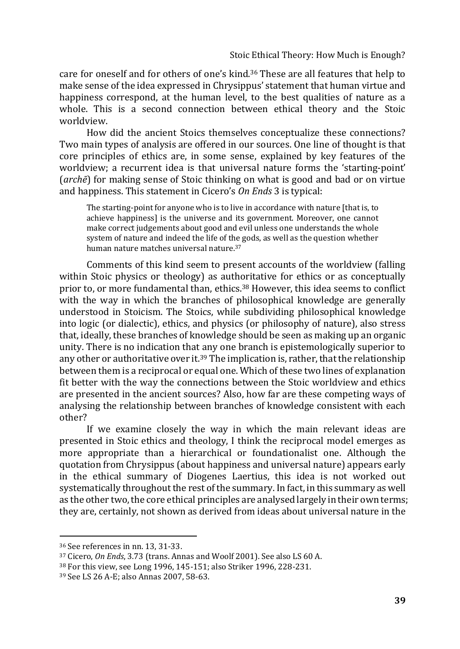care for oneself and for others of one's kind.<sup>36</sup> These are all features that help to make sense of the idea expressed in Chrysippus' statement that human virtue and happiness correspond, at the human level, to the best qualities of nature as a whole. This is a second connection between ethical theory and the Stoic worldview.

How did the ancient Stoics themselves conceptualize these connections? Two main types of analysis are offered in our sources. One line of thought is that core principles of ethics are, in some sense, explained by key features of the worldview; a recurrent idea is that universal nature forms the 'starting-point' (*archē*) for making sense of Stoic thinking on what is good and bad or on virtue and happiness. This statement in Cicero's *On Ends* 3 is typical:

The starting-point for anyone who is to live in accordance with nature [that is, to achieve happiness] is the universe and its government. Moreover, one cannot make correct judgements about good and evil unless one understands the whole system of nature and indeed the life of the gods, as well as the question whether human nature matches universal nature.<sup>37</sup>

Comments of this kind seem to present accounts of the worldview (falling within Stoic physics or theology) as authoritative for ethics or as conceptually prior to, or more fundamental than, ethics.<sup>38</sup> However, this idea seems to conflict with the way in which the branches of philosophical knowledge are generally understood in Stoicism. The Stoics, while subdividing philosophical knowledge into logic (or dialectic), ethics, and physics (or philosophy of nature), also stress that, ideally, these branches of knowledge should be seen as making up an organic unity. There is no indication that any one branch is epistemologically superior to any other or authoritative over it.<sup>39</sup> The implication is, rather, that the relationship between them is a reciprocal or equal one. Which of these two lines of explanation fit better with the way the connections between the Stoic worldview and ethics are presented in the ancient sources? Also, how far are these competing ways of analysing the relationship between branches of knowledge consistent with each other?

If we examine closely the way in which the main relevant ideas are presented in Stoic ethics and theology, I think the reciprocal model emerges as more appropriate than a hierarchical or foundationalist one. Although the quotation from Chrysippus (about happiness and universal nature) appears early in the ethical summary of Diogenes Laertius, this idea is not worked out systematically throughout the rest of the summary. In fact, in this summary as well as the other two, the core ethical principles are analysed largely in their own terms; they are, certainly, not shown as derived from ideas about universal nature in the

<sup>36</sup> See references in nn. 13, 31-33.

<sup>37</sup> Cicero, *On Ends*, 3.73 (trans. Annas and Woolf 2001). See also LS 60 A.

<sup>38</sup> For this view, see Long 1996, 145-151; also Striker 1996, 228-231.

<sup>39</sup> See LS 26 A-E; also Annas 2007, 58-63.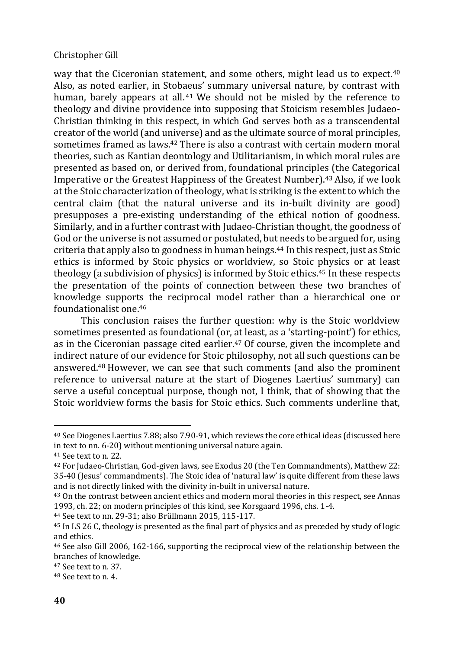way that the Ciceronian statement, and some others, might lead us to expect.<sup>40</sup> Also, as noted earlier, in Stobaeus' summary universal nature, by contrast with human, barely appears at all. <sup>41</sup> We should not be misled by the reference to theology and divine providence into supposing that Stoicism resembles Judaeo-Christian thinking in this respect, in which God serves both as a transcendental creator of the world (and universe) and as the ultimate source of moral principles, sometimes framed as laws.<sup>42</sup> There is also a contrast with certain modern moral theories, such as Kantian deontology and Utilitarianism, in which moral rules are presented as based on, or derived from, foundational principles (the Categorical Imperative or the Greatest Happiness of the Greatest Number).<sup>43</sup> Also, if we look at the Stoic characterization of theology, what is striking is the extent to which the central claim (that the natural universe and its in-built divinity are good) presupposes a pre-existing understanding of the ethical notion of goodness. Similarly, and in a further contrast with Judaeo-Christian thought, the goodness of God or the universe is not assumed or postulated, but needs to be argued for, using criteria that apply also to goodness in human beings.<sup>44</sup> In this respect, just as Stoic ethics is informed by Stoic physics or worldview, so Stoic physics or at least theology (a subdivision of physics) is informed by Stoic ethics.<sup>45</sup> In these respects the presentation of the points of connection between these two branches of knowledge supports the reciprocal model rather than a hierarchical one or foundationalist one.<sup>46</sup>

This conclusion raises the further question: why is the Stoic worldview sometimes presented as foundational (or, at least, as a 'starting-point') for ethics, as in the Ciceronian passage cited earlier.<sup>47</sup> Of course, given the incomplete and indirect nature of our evidence for Stoic philosophy, not all such questions can be answered.<sup>48</sup> However, we can see that such comments (and also the prominent reference to universal nature at the start of Diogenes Laertius' summary) can serve a useful conceptual purpose, though not, I think, that of showing that the Stoic worldview forms the basis for Stoic ethics. Such comments underline that,

<sup>44</sup> See text to nn. 29-31; also Brüllmann 2015, 115-117.

<sup>40</sup> See Diogenes Laertius 7.88; also 7.90-91, which reviews the core ethical ideas (discussed here in text to nn. 6-20) without mentioning universal nature again.

<sup>41</sup> See text to n. 22.

<sup>42</sup> For Judaeo-Christian, God-given laws, see Exodus 20 (the Ten Commandments), Matthew 22: 35-40 (Jesus' commandments). The Stoic idea of 'natural law' is quite different from these laws and is not directly linked with the divinity in-built in universal nature.

<sup>&</sup>lt;sup>43</sup> On the contrast between ancient ethics and modern moral theories in this respect, see Annas 1993, ch. 22; on modern principles of this kind, see Korsgaard 1996, chs. 1-4.

<sup>45</sup> In LS 26 C, theology is presented as the final part of physics and as preceded by study of logic and ethics.

<sup>46</sup> See also Gill 2006, 162-166, supporting the reciprocal view of the relationship between the branches of knowledge.

<sup>47</sup> See text to n. 37.

<sup>48</sup> See text to n. 4.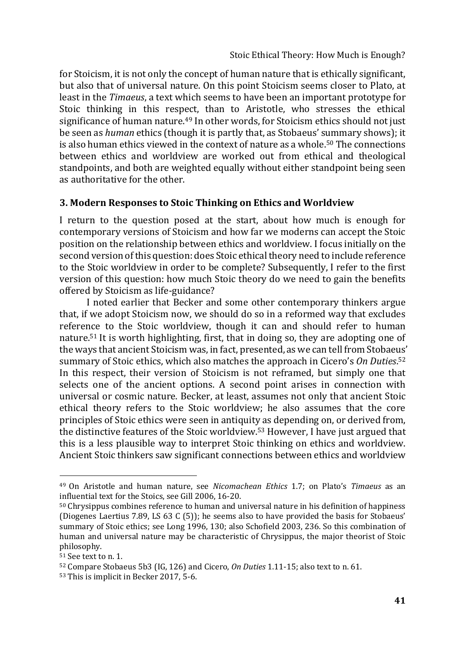for Stoicism, it is not only the concept of human nature that is ethically significant, but also that of universal nature. On this point Stoicism seems closer to Plato, at least in the *Timaeus*, a text which seems to have been an important prototype for Stoic thinking in this respect, than to Aristotle, who stresses the ethical significance of human nature.<sup>49</sup> In other words, for Stoicism ethics should not just be seen as *human* ethics (though it is partly that, as Stobaeus' summary shows); it is also human ethics viewed in the context of nature as a whole.<sup>50</sup> The connections between ethics and worldview are worked out from ethical and theological standpoints, and both are weighted equally without either standpoint being seen as authoritative for the other.

## **3. Modern Responses to Stoic Thinking on Ethics and Worldview**

I return to the question posed at the start, about how much is enough for contemporary versions of Stoicism and how far we moderns can accept the Stoic position on the relationship between ethics and worldview. I focus initially on the second version of this question: does Stoic ethical theory need to include reference to the Stoic worldview in order to be complete? Subsequently, I refer to the first version of this question: how much Stoic theory do we need to gain the benefits offered by Stoicism as life-guidance?

I noted earlier that Becker and some other contemporary thinkers argue that, if we adopt Stoicism now, we should do so in a reformed way that excludes reference to the Stoic worldview, though it can and should refer to human nature.<sup>51</sup> It is worth highlighting, first, that in doing so, they are adopting one of the ways that ancient Stoicism was, in fact, presented, as we can tell from Stobaeus' summary of Stoic ethics, which also matches the approach in Cicero's *On Duties*. 52 In this respect, their version of Stoicism is not reframed, but simply one that selects one of the ancient options. A second point arises in connection with universal or cosmic nature. Becker, at least, assumes not only that ancient Stoic ethical theory refers to the Stoic worldview; he also assumes that the core principles of Stoic ethics were seen in antiquity as depending on, or derived from, the distinctive features of the Stoic worldview.<sup>53</sup> However, I have just argued that this is a less plausible way to interpret Stoic thinking on ethics and worldview. Ancient Stoic thinkers saw significant connections between ethics and worldview

<sup>49</sup> On Aristotle and human nature, see *Nicomachean Ethics* 1.7; on Plato's *Timaeus* as an influential text for the Stoics, see Gill 2006, 16-20.

<sup>50</sup> Chrysippus combines reference to human and universal nature in his definition of happiness (Diogenes Laertius 7.89, LS 63 C (5)); he seems also to have provided the basis for Stobaeus' summary of Stoic ethics; see Long 1996, 130; also Schofield 2003, 236. So this combination of human and universal nature may be characteristic of Chrysippus, the major theorist of Stoic philosophy.

<sup>51</sup> See text to n. 1.

<sup>52</sup> Compare Stobaeus 5b3 (IG, 126) and Cicero, *On Duties* 1.11-15; also text to n. 61.

<sup>53</sup> This is implicit in Becker 2017, 5-6.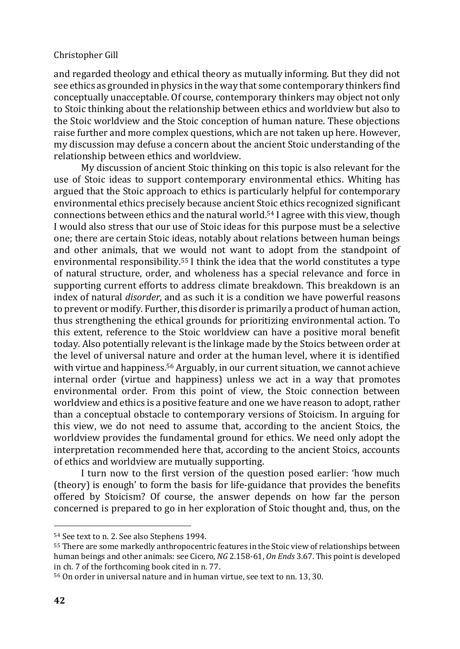and regarded theology and ethical theory as mutually informing. But they did not see ethics as grounded in physics in the way that some contemporary thinkers find conceptually unacceptable. Of course, contemporary thinkers may object not only to Stoic thinking about the relationship between ethics and worldview but also to the Stoic worldview and the Stoic conception of human nature. These objections raise further and more complex questions, which are not taken up here. However, my discussion may defuse a concern about the ancient Stoic understanding of the relationship between ethics and worldview.

My discussion of ancient Stoic thinking on this topic is also relevant for the use of Stoic ideas to support contemporary environmental ethics. Whiting has argued that the Stoic approach to ethics is particularly helpful for contemporary environmental ethics precisely because ancient Stoic ethics recognized significant connections between ethics and the natural world.<sup>54</sup> I agree with this view, though I would also stress that our use of Stoic ideas for this purpose must be a selective one; there are certain Stoic ideas, notably about relations between human beings and other animals, that we would not want to adopt from the standpoint of environmental responsibility.<sup>55</sup> I think the idea that the world constitutes a type of natural structure, order, and wholeness has a special relevance and force in supporting current efforts to address climate breakdown. This breakdown is an index of natural *disorder*, and as such it is a condition we have powerful reasons to prevent or modify. Further, this disorder is primarily a product of human action, thus strengthening the ethical grounds for prioritizing environmental action. To this extent, reference to the Stoic worldview can have a positive moral benefit today. Also potentially relevant is the linkage made by the Stoics between order at the level of universal nature and order at the human level, where it is identified with virtue and happiness.<sup>56</sup> Arguably, in our current situation, we cannot achieve internal order (virtue and happiness) unless we act in a way that promotes environmental order. From this point of view, the Stoic connection between worldview and ethics is a positive feature and one we have reason to adopt, rather than a conceptual obstacle to contemporary versions of Stoicism. In arguing for this view, we do not need to assume that, according to the ancient Stoics, the worldview provides the fundamental ground for ethics. We need only adopt the interpretation recommended here that, according to the ancient Stoics, accounts of ethics and worldview are mutually supporting.

I turn now to the first version of the question posed earlier: 'how much (theory) is enough' to form the basis for life-guidance that provides the benefits offered by Stoicism? Of course, the answer depends on how far the person concerned is prepared to go in her exploration of Stoic thought and, thus, on the

<sup>54</sup> See text to n. 2. See also Stephens 1994.

<sup>55</sup> There are some markedly anthropocentric features in the Stoic view of relationships between human beings and other animals: see Cicero, *NG* 2.158-61, *On Ends* 3.67. This point is developed in ch. 7 of the forthcoming book cited in n. 77.

<sup>56</sup> On order in universal nature and in human virtue, see text to nn. 13, 30.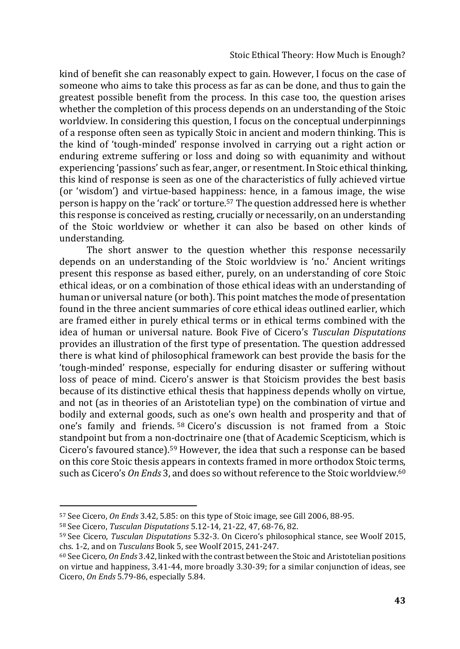kind of benefit she can reasonably expect to gain. However, I focus on the case of someone who aims to take this process as far as can be done, and thus to gain the greatest possible benefit from the process. In this case too, the question arises whether the completion of this process depends on an understanding of the Stoic worldview. In considering this question, I focus on the conceptual underpinnings of a response often seen as typically Stoic in ancient and modern thinking. This is the kind of 'tough-minded' response involved in carrying out a right action or enduring extreme suffering or loss and doing so with equanimity and without experiencing 'passions' such as fear, anger, or resentment. In Stoic ethical thinking, this kind of response is seen as one of the characteristics of fully achieved virtue (or 'wisdom') and virtue-based happiness: hence, in a famous image, the wise person is happy on the 'rack' or torture.<sup>57</sup> The question addressed here is whether this response is conceived as resting, crucially or necessarily, on an understanding of the Stoic worldview or whether it can also be based on other kinds of understanding.

The short answer to the question whether this response necessarily depends on an understanding of the Stoic worldview is 'no.' Ancient writings present this response as based either, purely, on an understanding of core Stoic ethical ideas, or on a combination of those ethical ideas with an understanding of human or universal nature (or both). This point matches the mode of presentation found in the three ancient summaries of core ethical ideas outlined earlier, which are framed either in purely ethical terms or in ethical terms combined with the idea of human or universal nature. Book Five of Cicero's *Tusculan Disputations*  provides an illustration of the first type of presentation. The question addressed there is what kind of philosophical framework can best provide the basis for the 'tough-minded' response, especially for enduring disaster or suffering without loss of peace of mind. Cicero's answer is that Stoicism provides the best basis because of its distinctive ethical thesis that happiness depends wholly on virtue, and not (as in theories of an Aristotelian type) on the combination of virtue and bodily and external goods, such as one's own health and prosperity and that of one's family and friends. <sup>58</sup> Cicero's discussion is not framed from a Stoic standpoint but from a non-doctrinaire one (that of Academic Scepticism, which is Cicero's favoured stance).<sup>59</sup> However, the idea that such a response can be based on this core Stoic thesis appears in contexts framed in more orthodox Stoic terms, such as Cicero's *On Ends* 3, and does so without reference to the Stoic worldview.<sup>60</sup>

<sup>57</sup> See Cicero, *On Ends* 3.42, 5.85: on this type of Stoic image, see Gill 2006, 88-95.

<sup>58</sup> See Cicero, *Tusculan Disputations* 5.12-14, 21-22, 47, 68-76, 82.

<sup>59</sup> See Cicero, *Tusculan Disputations* 5.32-3. On Cicero's philosophical stance, see Woolf 2015, chs. 1-2, and on *Tusculans* Book 5, see Woolf 2015, 241-247.

<sup>60</sup> See Cicero, *On Ends* 3.42, linked with the contrast between the Stoic and Aristotelian positions on virtue and happiness, 3.41-44, more broadly 3.30-39; for a similar conjunction of ideas, see Cicero, *On Ends* 5.79-86, especially 5.84.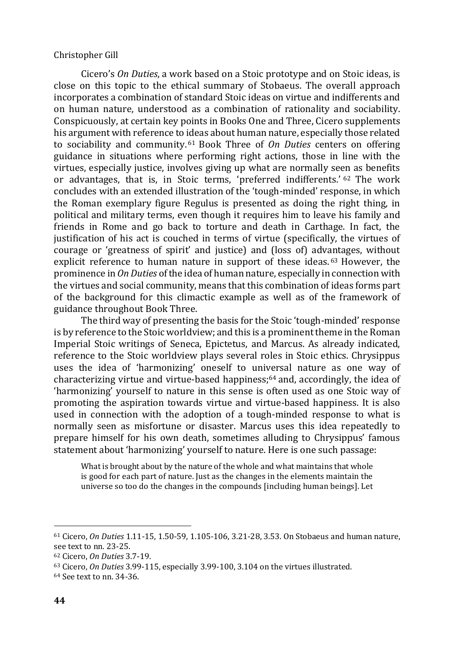Cicero's *On Duties*, a work based on a Stoic prototype and on Stoic ideas, is close on this topic to the ethical summary of Stobaeus. The overall approach incorporates a combination of standard Stoic ideas on virtue and indifferents and on human nature, understood as a combination of rationality and sociability. Conspicuously, at certain key points in Books One and Three, Cicero supplements his argument with reference to ideas about human nature, especially those related to sociability and community. <sup>61</sup> Book Three of *On Duties* centers on offering guidance in situations where performing right actions, those in line with the virtues, especially justice, involves giving up what are normally seen as benefits or advantages, that is, in Stoic terms, 'preferred indifferents.' <sup>62</sup> The work concludes with an extended illustration of the 'tough-minded' response, in which the Roman exemplary figure Regulus is presented as doing the right thing, in political and military terms, even though it requires him to leave his family and friends in Rome and go back to torture and death in Carthage. In fact, the justification of his act is couched in terms of virtue (specifically, the virtues of courage or 'greatness of spirit' and justice) and (loss of) advantages, without explicit reference to human nature in support of these ideas. <sup>63</sup> However, the prominence in *On Duties* of the idea of human nature, especially in connection with the virtues and social community, means that this combination of ideas forms part of the background for this climactic example as well as of the framework of guidance throughout Book Three.

The third way of presenting the basis for the Stoic 'tough-minded' response is by reference to the Stoic worldview; and this is a prominent theme in the Roman Imperial Stoic writings of Seneca, Epictetus, and Marcus. As already indicated, reference to the Stoic worldview plays several roles in Stoic ethics. Chrysippus uses the idea of 'harmonizing' oneself to universal nature as one way of characterizing virtue and virtue-based happiness; $64$  and, accordingly, the idea of 'harmonizing' yourself to nature in this sense is often used as one Stoic way of promoting the aspiration towards virtue and virtue-based happiness. It is also used in connection with the adoption of a tough-minded response to what is normally seen as misfortune or disaster. Marcus uses this idea repeatedly to prepare himself for his own death, sometimes alluding to Chrysippus' famous statement about 'harmonizing' yourself to nature. Here is one such passage:

What is brought about by the nature of the whole and what maintains that whole is good for each part of nature. Just as the changes in the elements maintain the universe so too do the changes in the compounds [including human beings]. Let

<sup>61</sup> Cicero, *On Duties* 1.11-15, 1.50-59, 1.105-106, 3.21-28, 3.53. On Stobaeus and human nature, see text to nn. 23-25.

<sup>62</sup> Cicero, *On Duties* 3.7-19.

<sup>63</sup> Cicero, *On Duties* 3.99-115, especially 3.99-100, 3.104 on the virtues illustrated.

<sup>64</sup> See text to nn. 34-36.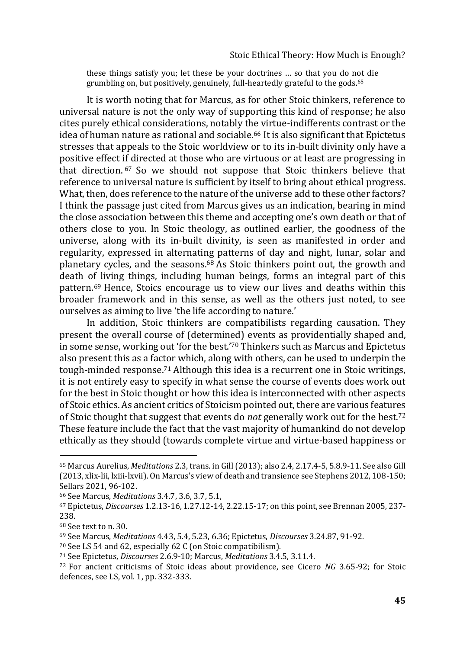these things satisfy you; let these be your doctrines … so that you do not die grumbling on, but positively, genuinely, full-heartedly grateful to the gods.<sup>65</sup>

It is worth noting that for Marcus, as for other Stoic thinkers, reference to universal nature is not the only way of supporting this kind of response; he also cites purely ethical considerations, notably the virtue-indifferents contrast or the idea of human nature as rational and sociable.<sup>66</sup> It is also significant that Epictetus stresses that appeals to the Stoic worldview or to its in-built divinity only have a positive effect if directed at those who are virtuous or at least are progressing in that direction. <sup>67</sup> So we should not suppose that Stoic thinkers believe that reference to universal nature is sufficient by itself to bring about ethical progress. What, then, does reference to the nature of the universe add to these other factors? I think the passage just cited from Marcus gives us an indication, bearing in mind the close association between this theme and accepting one's own death or that of others close to you. In Stoic theology, as outlined earlier, the goodness of the universe, along with its in-built divinity, is seen as manifested in order and regularity, expressed in alternating patterns of day and night, lunar, solar and planetary cycles, and the seasons.<sup>68</sup> As Stoic thinkers point out, the growth and death of living things, including human beings, forms an integral part of this pattern.<sup>69</sup> Hence, Stoics encourage us to view our lives and deaths within this broader framework and in this sense, as well as the others just noted, to see ourselves as aiming to live 'the life according to nature.'

In addition, Stoic thinkers are compatibilists regarding causation. They present the overall course of (determined) events as providentially shaped and, in some sense, working out 'for the best.'<sup>70</sup> Thinkers such as Marcus and Epictetus also present this as a factor which, along with others, can be used to underpin the tough-minded response.<sup>71</sup> Although this idea is a recurrent one in Stoic writings, it is not entirely easy to specify in what sense the course of events does work out for the best in Stoic thought or how this idea is interconnected with other aspects of Stoic ethics. As ancient critics of Stoicism pointed out, there are various features of Stoic thought that suggest that events do *not* generally work out for the best.<sup>72</sup> These feature include the fact that the vast majority of humankind do not develop ethically as they should (towards complete virtue and virtue-based happiness or

<sup>65</sup> Marcus Aurelius, *Meditations* 2.3, trans. in Gill (2013); also 2.4, 2.17.4-5, 5.8.9-11. See also Gill (2013, xlix-lii, lxiii-lxvii). On Marcus's view of death and transience see Stephens 2012, 108-150; Sellars 2021, 96-102.

<sup>66</sup> See Marcus, *Meditations* 3.4.7, 3.6, 3.7, 5.1,

<sup>67</sup> Epictetus, *Discourses* 1.2.13-16, 1.27.12-14, 2.22.15-17; on this point, see Brennan 2005, 237- 238.

<sup>68</sup> See text to n. 30.

<sup>69</sup> See Marcus, *Meditations* 4.43, 5.4, 5.23, 6.36; Epictetus, *Discourses* 3.24.87, 91-92.

<sup>70</sup> See LS 54 and 62, especially 62 C (on Stoic compatibilism).

<sup>71</sup> See Epictetus, *Discourses* 2.6.9-10; Marcus, *Meditations* 3.4.5, 3.11.4.

<sup>72</sup> For ancient criticisms of Stoic ideas about providence, see Cicero *NG* 3.65-92; for Stoic defences, see LS, vol. 1, pp. 332-333.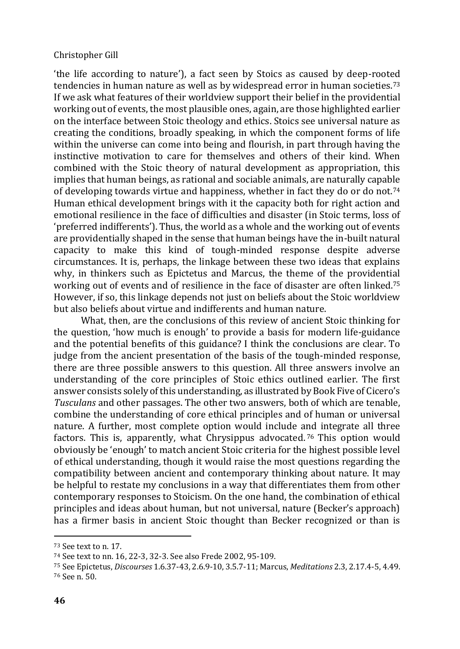'the life according to nature'), a fact seen by Stoics as caused by deep-rooted tendencies in human nature as well as by widespread error in human societies.<sup>73</sup> If we ask what features of their worldview support their belief in the providential working out of events, the most plausible ones, again, are those highlighted earlier on the interface between Stoic theology and ethics. Stoics see universal nature as creating the conditions, broadly speaking, in which the component forms of life within the universe can come into being and flourish, in part through having the instinctive motivation to care for themselves and others of their kind. When combined with the Stoic theory of natural development as appropriation, this implies that human beings, as rational and sociable animals, are naturally capable of developing towards virtue and happiness, whether in fact they do or do not.<sup>74</sup> Human ethical development brings with it the capacity both for right action and emotional resilience in the face of difficulties and disaster (in Stoic terms, loss of 'preferred indifferents'). Thus, the world as a whole and the working out of events are providentially shaped in the sense that human beings have the in-built natural capacity to make this kind of tough-minded response despite adverse circumstances. It is, perhaps, the linkage between these two ideas that explains why, in thinkers such as Epictetus and Marcus, the theme of the providential working out of events and of resilience in the face of disaster are often linked.<sup>75</sup> However, if so, this linkage depends not just on beliefs about the Stoic worldview but also beliefs about virtue and indifferents and human nature.

What, then, are the conclusions of this review of ancient Stoic thinking for the question, 'how much is enough' to provide a basis for modern life-guidance and the potential benefits of this guidance? I think the conclusions are clear. To judge from the ancient presentation of the basis of the tough-minded response, there are three possible answers to this question. All three answers involve an understanding of the core principles of Stoic ethics outlined earlier. The first answer consists solely of this understanding, as illustrated by Book Five of Cicero's *Tusculans* and other passages. The other two answers, both of which are tenable, combine the understanding of core ethical principles and of human or universal nature. A further, most complete option would include and integrate all three factors. This is, apparently, what Chrysippus advocated. <sup>76</sup> This option would obviously be 'enough' to match ancient Stoic criteria for the highest possible level of ethical understanding, though it would raise the most questions regarding the compatibility between ancient and contemporary thinking about nature. It may be helpful to restate my conclusions in a way that differentiates them from other contemporary responses to Stoicism. On the one hand, the combination of ethical principles and ideas about human, but not universal, nature (Becker's approach) has a firmer basis in ancient Stoic thought than Becker recognized or than is

<sup>73</sup> See text to n. 17.

<sup>74</sup> See text to nn. 16, 22-3, 32-3. See also Frede 2002, 95-109.

<sup>75</sup> See Epictetus, *Discourses* 1.6.37-43, 2.6.9-10, 3.5.7-11; Marcus, *Meditations* 2.3, 2.17.4-5, 4.49. <sup>76</sup> See n. 50.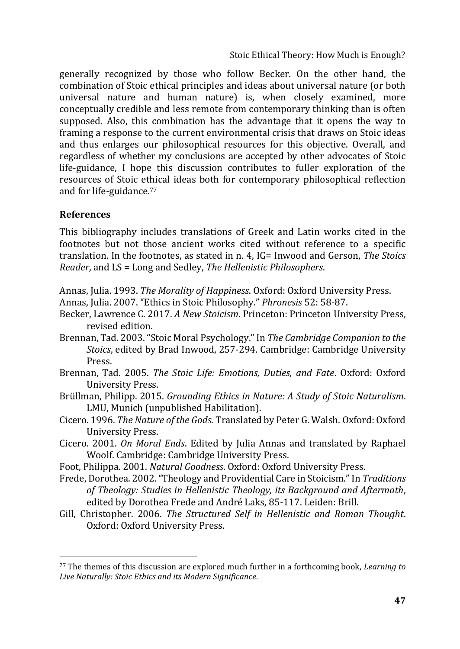Stoic Ethical Theory: How Much is Enough?

generally recognized by those who follow Becker. On the other hand, the combination of Stoic ethical principles and ideas about universal nature (or both universal nature and human nature) is, when closely examined, more conceptually credible and less remote from contemporary thinking than is often supposed. Also, this combination has the advantage that it opens the way to framing a response to the current environmental crisis that draws on Stoic ideas and thus enlarges our philosophical resources for this objective. Overall, and regardless of whether my conclusions are accepted by other advocates of Stoic life-guidance, I hope this discussion contributes to fuller exploration of the resources of Stoic ethical ideas both for contemporary philosophical reflection and for life-guidance.<sup>77</sup>

## **References**

This bibliography includes translations of Greek and Latin works cited in the footnotes but not those ancient works cited without reference to a specific translation. In the footnotes, as stated in n. 4, IG= Inwood and Gerson, *The Stoics Reader*, and LS = Long and Sedley, *The Hellenistic Philosophers*.

- Annas, Julia. 1993. *The Morality of Happiness*. Oxford: Oxford University Press.
- Annas, Julia. 2007. "Ethics in Stoic Philosophy." *Phronesis* 52: 58-87.
- Becker, Lawrence C. 2017. *A New Stoicism*. Princeton: Princeton University Press, revised edition.
- Brennan, Tad. 2003. "Stoic Moral Psychology." In *The Cambridge Companion to the Stoics*, edited by Brad Inwood, 257-294. Cambridge: Cambridge University Press.
- Brennan, Tad. 2005. *The Stoic Life: Emotions, Duties, and Fate*. Oxford: Oxford University Press.
- Brüllman, Philipp. 2015. *Grounding Ethics in Nature: A Study of Stoic Naturalism*. LMU, Munich (unpublished Habilitation).
- Cicero. 1996. *The Nature of the Gods*. Translated by Peter G. Walsh. Oxford: Oxford University Press.
- Cicero. 2001. *On Moral Ends*. Edited by Julia Annas and translated by Raphael Woolf. Cambridge: Cambridge University Press.
- Foot, Philippa. 2001. *Natural Goodness*. Oxford: Oxford University Press.
- Frede, Dorothea. 2002. "Theology and Providential Care in Stoicism." In *Traditions of Theology: Studies in Hellenistic Theology, its Background and Aftermath*, edited by Dorothea Frede and André Laks, 85-117. Leiden: Brill.
- Gill, Christopher. 2006. *The Structured Self in Hellenistic and Roman Thought*. Oxford: Oxford University Press.

<sup>77</sup> The themes of this discussion are explored much further in a forthcoming book, *Learning to Live Naturally: Stoic Ethics and its Modern Significance*.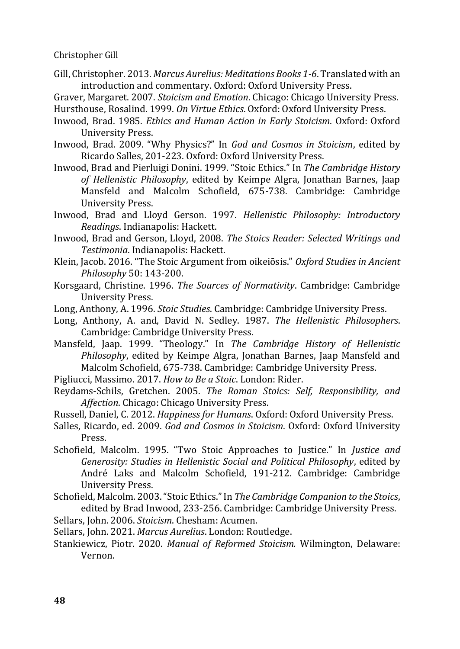Gill, Christopher. 2013. *Marcus Aurelius: Meditations Books 1-6*. Translated with an introduction and commentary. Oxford: Oxford University Press.

Graver, Margaret. 2007. *Stoicism and Emotion*. Chicago: Chicago University Press. Hursthouse, Rosalind. 1999. *On Virtue Ethics*. Oxford: Oxford University Press.

- Inwood, Brad. 1985. *Ethics and Human Action in Early Stoicism*. Oxford: Oxford University Press.
- Inwood, Brad. 2009. "Why Physics?" In *God and Cosmos in Stoicism*, edited by Ricardo Salles, 201-223. Oxford: Oxford University Press.
- Inwood, Brad and Pierluigi Donini. 1999. "Stoic Ethics." In *The Cambridge History of Hellenistic Philosophy*, edited by Keimpe Algra, Jonathan Barnes, Jaap Mansfeld and Malcolm Schofield, 675-738. Cambridge: Cambridge University Press.
- Inwood, Brad and Lloyd Gerson. 1997. *Hellenistic Philosophy: Introductory Readings*. Indianapolis: Hackett.
- Inwood, Brad and Gerson, Lloyd, 2008. *The Stoics Reader: Selected Writings and Testimonia*. Indianapolis: Hackett.
- Klein, Jacob. 2016. "The Stoic Argument from oikeiōsis." *Oxford Studies in Ancient Philosophy* 50: 143-200.
- Korsgaard, Christine. 1996. *The Sources of Normativity*. Cambridge: Cambridge University Press.
- Long, Anthony, A. 1996. *Stoic Studies*. Cambridge: Cambridge University Press.
- Long, Anthony, A. and, David N. Sedley. 1987. *The Hellenistic Philosophers*. Cambridge: Cambridge University Press.
- Mansfeld, Jaap. 1999. "Theology." In *The Cambridge History of Hellenistic Philosophy*, edited by Keimpe Algra, Jonathan Barnes, Jaap Mansfeld and Malcolm Schofield, 675-738. Cambridge: Cambridge University Press.

Pigliucci, Massimo. 2017. *How to Be a Stoic*. London: Rider.

- Reydams-Schils, Gretchen. 2005. *The Roman Stoics: Self, Responsibility, and Affection*. Chicago: Chicago University Press.
- Russell, Daniel, C. 2012. *Happiness for Humans*. Oxford: Oxford University Press.
- Salles, Ricardo, ed. 2009. *God and Cosmos in Stoicism*. Oxford: Oxford University Press.
- Schofield, Malcolm. 1995. "Two Stoic Approaches to Justice." In *Justice and Generosity: Studies in Hellenistic Social and Political Philosophy*, edited by André Laks and Malcolm Schofield, 191-212. Cambridge: Cambridge University Press.
- Schofield, Malcolm. 2003. "Stoic Ethics." In *The Cambridge Companion to the Stoics*, edited by Brad Inwood, 233-256. Cambridge: Cambridge University Press.

Sellars, John. 2006. *Stoicism*. Chesham: Acumen.

Sellars, John. 2021. *Marcus Aurelius*. London: Routledge.

Stankiewicz, Piotr. 2020. *Manual of Reformed Stoicism.* Wilmington, Delaware: Vernon.